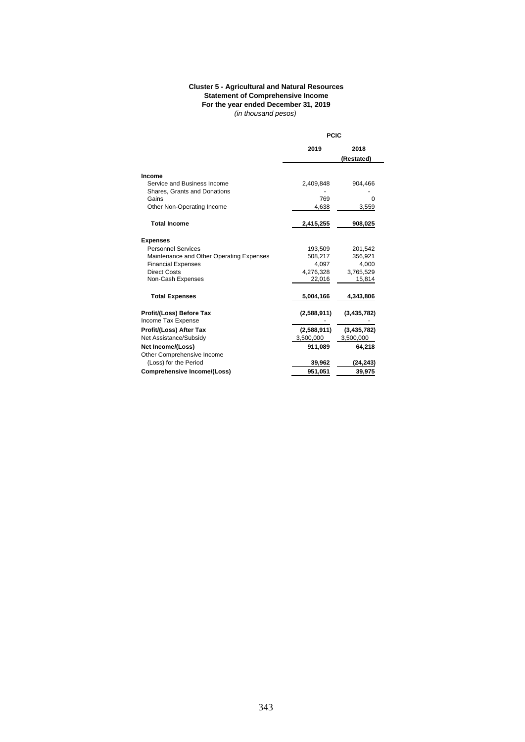## **Cluster 5 - Agricultural and Natural Resources Statement of Comprehensive Income For the year ended December 31, 2019** *(in thousand pesos)*

|                                                             |             | <b>PCIC</b>        |  |
|-------------------------------------------------------------|-------------|--------------------|--|
|                                                             | 2019        | 2018<br>(Restated) |  |
| Income                                                      |             |                    |  |
| Service and Business Income<br>Shares, Grants and Donations | 2,409,848   | 904,466            |  |
| Gains                                                       | 769         | O                  |  |
| Other Non-Operating Income                                  | 4,638       | 3,559              |  |
| <b>Total Income</b>                                         | 2,415,255   | 908,025            |  |
| <b>Expenses</b>                                             |             |                    |  |
| <b>Personnel Services</b>                                   | 193,509     | 201,542            |  |
| Maintenance and Other Operating Expenses                    | 508,217     | 356,921            |  |
| <b>Financial Expenses</b>                                   | 4,097       | 4,000              |  |
| <b>Direct Costs</b>                                         | 4,276,328   | 3,765,529          |  |
| Non-Cash Expenses                                           | 22,016      | 15,814             |  |
| <b>Total Expenses</b>                                       | 5,004,166   | 4,343,806          |  |
| Profit/(Loss) Before Tax<br>Income Tax Expense              | (2,588,911) | (3, 435, 782)      |  |
| Profit/(Loss) After Tax                                     | (2,588,911) | (3, 435, 782)      |  |
| Net Assistance/Subsidy                                      | 3,500,000   | 3,500,000          |  |
| Net Income/(Loss)                                           | 911,089     | 64,218             |  |
| Other Comprehensive Income                                  |             |                    |  |
| (Loss) for the Period                                       | 39,962      | (24, 243)          |  |
| <b>Comprehensive Income/(Loss)</b>                          | 951,051     | 39,975             |  |